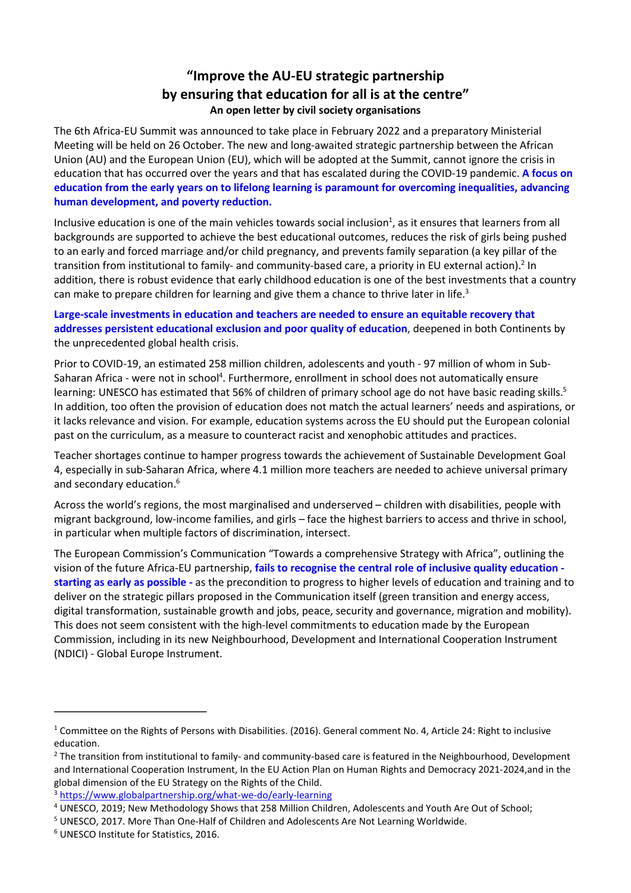## <span id="page-0-10"></span><span id="page-0-8"></span><span id="page-0-7"></span><span id="page-0-6"></span>**"Improve the AU-EU strategic partnership by ensuring that education for all is at the centre" An open letter by civil society organisations**

The 6th Africa-EU Summit was announced to take place in February 2022 and a preparatory Ministerial Meeting will be held on 26 October. The new and long-awaited strategic partnership between the African Union (AU) and the European Union (EU), which will be adopted at the Summit, cannot ignore the crisis in education that has occurred over the years and that has escalated during the COVID-19 pandemic. **A focus on education from the early years on to lifelong learning is paramount for overcoming inequalities, advancing human development, and poverty reduction.**

Inclusive education is one of the main vehicles towards social inclusion<sup>[1](#page-0-0)</sup>, as it ensures that learners from all backgrounds are supported to achieve the best educational outcomes, reduces the risk of girls being pushed to an early and forced marriage and/or child pregnancy, and prevents family separation (a key pillar of the transition from institutional to family- and community-based care, a priority in EU external action).<sup>[2](#page-0-1)</sup> In addition, there is robust evidence that early childhood education is one of the best investments that a country can make to prepare children for learning and give them a chance to thrive later in life.<sup>[3](#page-0-2)</sup>

## **Large-scale investments in education and teachers are needed to ensure an equitable recovery that addresses persistent educational exclusion and poor quality of education**, deepened in both Continents by the unprecedented global health crisis.

<span id="page-0-9"></span>Prior to COVID-19, an estimated 258 million children, adolescents and youth - 97 million of whom in Sub-Saharan Africa - were not in school<sup>[4](#page-0-3)</sup>. Furthermore, enrollment in school does not automatically ensure learning: UNESCO has estimated that [5](#page-0-4)6% of children of primary school age do not have basic reading skills.<sup>5</sup> In addition, too often the provision of education does not match the actual learners' needs and aspirations, or it lacks relevance and vision. For example, education systems across the EU should put the European colonial past on the curriculum, as a measure to counteract racist and xenophobic attitudes and practices.

Teacher shortages continue to hamper progress towards the achievement of Sustainable Development Goal 4, especially in sub-Saharan Africa, where 4.1 million more teachers are needed to achieve universal primary and secondary education.<sup>[6](#page-0-5)</sup>

<span id="page-0-11"></span>Across the world's regions, the most marginalised and underserved – children with disabilities, people with migrant background, low-income families, and girls – face the highest barriers to access and thrive in school, in particular when multiple factors of discrimination, intersect.

The European Commission's Communication ["Towards a comprehensive Strategy with Africa"](https://ec.europa.eu/international-partnerships/system/files/communication-eu-africa-strategy-join-2020-4-final_en.pdf), outlining the vision of the future Africa-EU partnership, **fails to recognise the central role of inclusive quality education starting as early as possible -** as the precondition to progress to higher levels of education and training and to deliver on the strategic pillars proposed in the Communication itself (green transition and energy access, digital transformation, sustainable growth and jobs, peace, security and governance, migration and mobility). This does not seem consistent with the high-level commitments to education made by the European Commission, including in its new Neighbourhood, Development and International Cooperation Instrument (NDICI) - Global Europe Instrument.

 $\ddot{\phantom{a}}$ 

<span id="page-0-0"></span> $1$  Committee on the Rights of Persons with Disabilities. (2016). General comment No. 4, Article 24: Right to inclusive education[.](https://www.right-to-education.org/sites/right-to-education.org/files/resource-attachments/CRPD_General_Comment_4_Inclusive_Education_2016_En.pdf)

<span id="page-0-1"></span><sup>&</sup>lt;sup>[2](#page-0-7)</sup> The transition from institutional to family- and community-based care is featured in the Neighbourhood, Development and International Cooperation Instrument, In the EU Action Plan on Human Rights and Democracy 2021-2024,and in the global dimension of the EU Strategy on the Rights of the Child.

<span id="page-0-2"></span>[<sup>3</sup>](#page-0-8) <https://www.globalpartnership.org/what-we-do/early-learning>

<span id="page-0-3"></span><sup>&</sup>lt;sup>[4](#page-0-9)</sup> UNESCO, 2019; New Methodology Shows that 258 Million Children, Adolescents and Youth Are Out of School;

<span id="page-0-4"></span><sup>&</sup>lt;sup>[5](#page-0-10)</sup> UNESCO, 2017. More Than One-Half of Children and Adolescents Are Not Learning Worldwide.

<span id="page-0-5"></span>[<sup>6</sup>](#page-0-11) UNESCO Institute for Statistics, 2016.